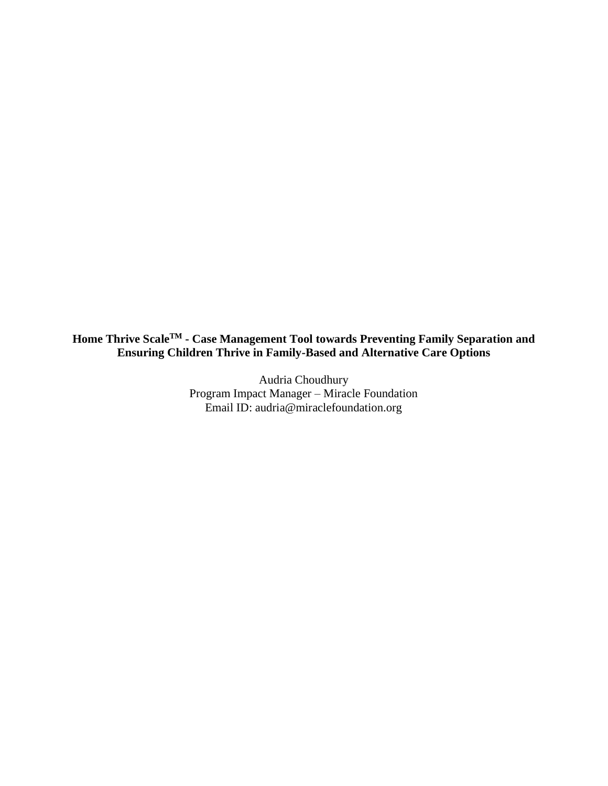**Home Thrive ScaleTM - Case Management Tool towards Preventing Family Separation and Ensuring Children Thrive in Family-Based and Alternative Care Options**

> Audria Choudhury Program Impact Manager – Miracle Foundation Email ID: audria@miraclefoundation.org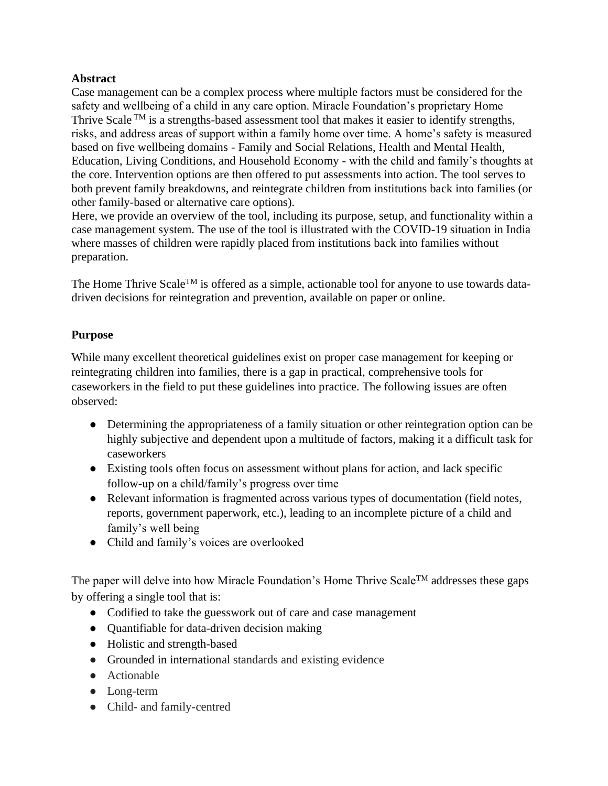# **Abstract**

Case management can be a complex process where multiple factors must be considered for the safety and wellbeing of a child in any care option. Miracle Foundation's proprietary Home Thrive Scale  $TM$  is a strengths-based assessment tool that makes it easier to identify strengths, risks, and address areas of support within a family home over time. A home's safety is measured based on five wellbeing domains - Family and Social Relations, Health and Mental Health, Education, Living Conditions, and Household Economy - with the child and family's thoughts at the core. Intervention options are then offered to put assessments into action. The tool serves to both prevent family breakdowns, and reintegrate children from institutions back into families (or other family-based or alternative care options).

Here, we provide an overview of the tool, including its purpose, setup, and functionality within a case management system. The use of the tool is illustrated with the COVID-19 situation in India where masses of children were rapidly placed from institutions back into families without preparation.

The Home Thrive Scale<sup>TM</sup> is offered as a simple, actionable tool for anyone to use towards datadriven decisions for reintegration and prevention, available on paper or online.

# **Purpose**

While many excellent theoretical guidelines exist on proper case management for keeping or reintegrating children into families, there is a gap in practical, comprehensive tools for caseworkers in the field to put these guidelines into practice. The following issues are often observed:

- Determining the appropriateness of a family situation or other reintegration option can be highly subjective and dependent upon a multitude of factors, making it a difficult task for caseworkers
- Existing tools often focus on assessment without plans for action, and lack specific follow-up on a child/family's progress over time
- Relevant information is fragmented across various types of documentation (field notes, reports, government paperwork, etc.), leading to an incomplete picture of a child and family's well being
- Child and family's voices are overlooked

The paper will delve into how Miracle Foundation's Home Thrive Scale<sup>TM</sup> addresses these gaps by offering a single tool that is:

- Codified to take the guesswork out of care and case management
- Quantifiable for data-driven decision making
- Holistic and strength-based
- Grounded in international standards and existing evidence
- Actionable
- Long-term
- Child- and family-centred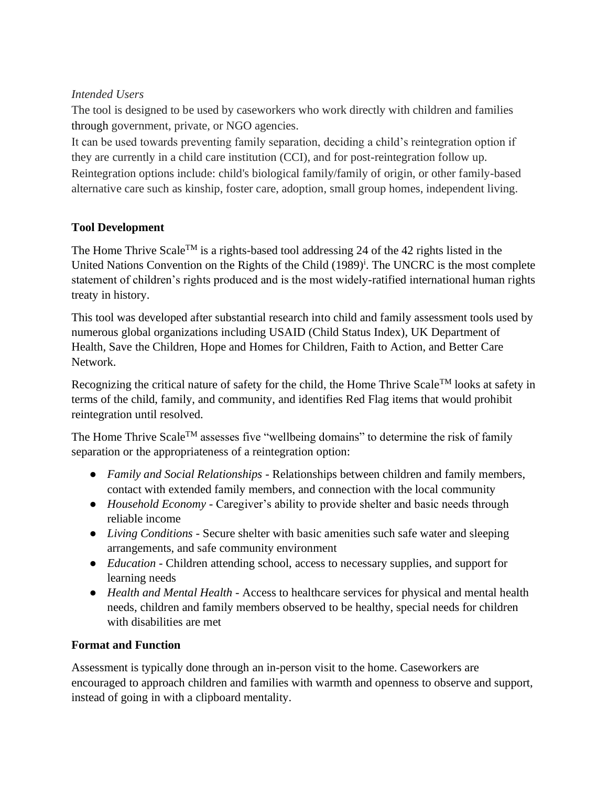# *Intended Users*

The tool is designed to be used by caseworkers who work directly with children and families through government, private, or NGO agencies.

It can be used towards preventing family separation, deciding a child's reintegration option if they are currently in a child care institution (CCI), and for post-reintegration follow up. Reintegration options include: child's biological family/family of origin, or other family-based alternative care such as kinship, foster care, adoption, small group homes, independent living.

# **Tool Development**

The Home Thrive Scale<sup>TM</sup> is a rights-based tool addressing 24 of the 42 rights listed in the United Nations Convention on the Rights of the Child (1989)<sup>i</sup>. The UNCRC is the most complete statement of children's rights produced and is the most widely-ratified international human rights treaty in history.

This tool was developed after substantial research into child and family assessment tools used by numerous global organizations including USAID (Child Status Index), UK Department of Health, Save the Children, Hope and Homes for Children, Faith to Action, and Better Care Network.

Recognizing the critical nature of safety for the child, the Home Thrive Scale<sup>TM</sup> looks at safety in terms of the child, family, and community, and identifies Red Flag items that would prohibit reintegration until resolved.

The Home Thrive Scale<sup>TM</sup> assesses five "wellbeing domains" to determine the risk of family separation or the appropriateness of a reintegration option:

- *Family and Social Relationships* Relationships between children and family members, contact with extended family members, and connection with the local community
- *Household Economy* Caregiver's ability to provide shelter and basic needs through reliable income
- *Living Conditions* Secure shelter with basic amenities such safe water and sleeping arrangements, and safe community environment
- *Education* Children attending school, access to necessary supplies, and support for learning needs
- *Health and Mental Health* Access to healthcare services for physical and mental health needs, children and family members observed to be healthy, special needs for children with disabilities are met

# **Format and Function**

Assessment is typically done through an in-person visit to the home. Caseworkers are encouraged to approach children and families with warmth and openness to observe and support, instead of going in with a clipboard mentality.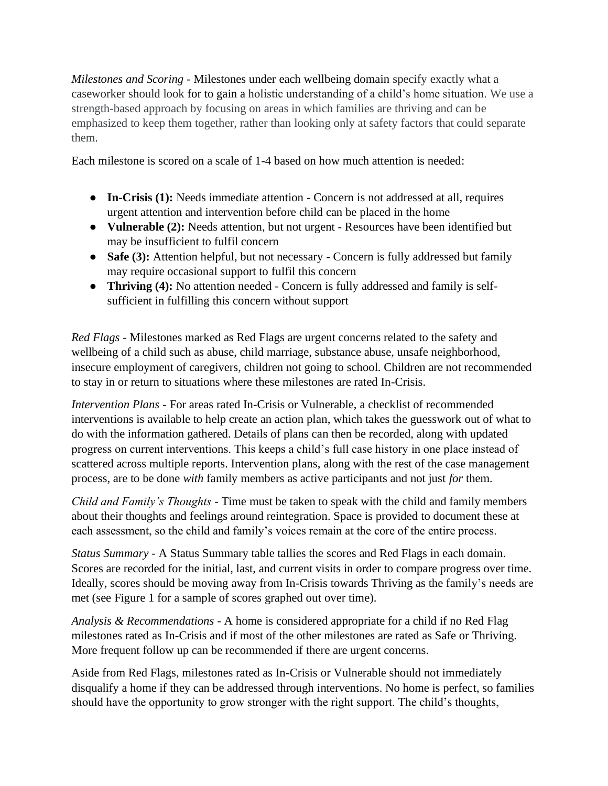*Milestones and Scoring -* Milestones under each wellbeing domain specify exactly what a caseworker should look for to gain a holistic understanding of a child's home situation. We use a strength-based approach by focusing on areas in which families are thriving and can be emphasized to keep them together, rather than looking only at safety factors that could separate them.

Each milestone is scored on a scale of 1-4 based on how much attention is needed:

- **In-Crisis (1):** Needs immediate attention Concern is not addressed at all, requires urgent attention and intervention before child can be placed in the home
- **Vulnerable (2):** Needs attention, but not urgent Resources have been identified but may be insufficient to fulfil concern
- **Safe (3):** Attention helpful, but not necessary Concern is fully addressed but family may require occasional support to fulfil this concern
- **Thriving (4):** No attention needed Concern is fully addressed and family is selfsufficient in fulfilling this concern without support

*Red Flags -* Milestones marked as Red Flags are urgent concerns related to the safety and wellbeing of a child such as abuse, child marriage, substance abuse, unsafe neighborhood, insecure employment of caregivers, children not going to school. Children are not recommended to stay in or return to situations where these milestones are rated In-Crisis.

*Intervention Plans -* For areas rated In-Crisis or Vulnerable, a checklist of recommended interventions is available to help create an action plan, which takes the guesswork out of what to do with the information gathered. Details of plans can then be recorded, along with updated progress on current interventions. This keeps a child's full case history in one place instead of scattered across multiple reports. Intervention plans, along with the rest of the case management process, are to be done *with* family members as active participants and not just *for* them.

*Child and Family's Thoughts -* Time must be taken to speak with the child and family members about their thoughts and feelings around reintegration. Space is provided to document these at each assessment, so the child and family's voices remain at the core of the entire process.

*Status Summary -* A Status Summary table tallies the scores and Red Flags in each domain. Scores are recorded for the initial, last, and current visits in order to compare progress over time. Ideally, scores should be moving away from In-Crisis towards Thriving as the family's needs are met (see Figure 1 for a sample of scores graphed out over time).

*Analysis & Recommendations -* A home is considered appropriate for a child if no Red Flag milestones rated as In-Crisis and if most of the other milestones are rated as Safe or Thriving. More frequent follow up can be recommended if there are urgent concerns.

Aside from Red Flags, milestones rated as In-Crisis or Vulnerable should not immediately disqualify a home if they can be addressed through interventions. No home is perfect, so families should have the opportunity to grow stronger with the right support. The child's thoughts,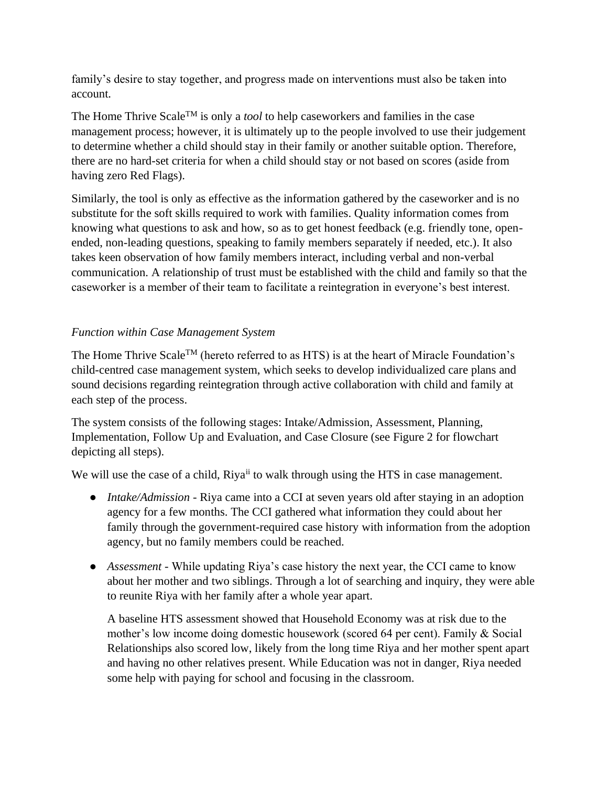family's desire to stay together, and progress made on interventions must also be taken into account.

The Home Thrive ScaleTM is only a *tool* to help caseworkers and families in the case management process; however, it is ultimately up to the people involved to use their judgement to determine whether a child should stay in their family or another suitable option. Therefore, there are no hard-set criteria for when a child should stay or not based on scores (aside from having zero Red Flags).

Similarly, the tool is only as effective as the information gathered by the caseworker and is no substitute for the soft skills required to work with families. Quality information comes from knowing what questions to ask and how, so as to get honest feedback (e.g. friendly tone, openended, non-leading questions, speaking to family members separately if needed, etc.). It also takes keen observation of how family members interact, including verbal and non-verbal communication. A relationship of trust must be established with the child and family so that the caseworker is a member of their team to facilitate a reintegration in everyone's best interest.

# *Function within Case Management System*

The Home Thrive Scale<sup>TM</sup> (hereto referred to as HTS) is at the heart of Miracle Foundation's child-centred case management system, which seeks to develop individualized care plans and sound decisions regarding reintegration through active collaboration with child and family at each step of the process.

The system consists of the following stages: Intake/Admission, Assessment, Planning, Implementation, Follow Up and Evaluation, and Case Closure (see Figure 2 for flowchart depicting all steps).

We will use the case of a child, Riya<sup>ii</sup> to walk through using the HTS in case management.

- *Intake/Admission* Riya came into a CCI at seven years old after staying in an adoption agency for a few months. The CCI gathered what information they could about her family through the government-required case history with information from the adoption agency, but no family members could be reached.
- *Assessment* While updating Riya's case history the next year, the CCI came to know about her mother and two siblings. Through a lot of searching and inquiry, they were able to reunite Riya with her family after a whole year apart.

A baseline HTS assessment showed that Household Economy was at risk due to the mother's low income doing domestic housework (scored 64 per cent). Family & Social Relationships also scored low, likely from the long time Riya and her mother spent apart and having no other relatives present. While Education was not in danger, Riya needed some help with paying for school and focusing in the classroom.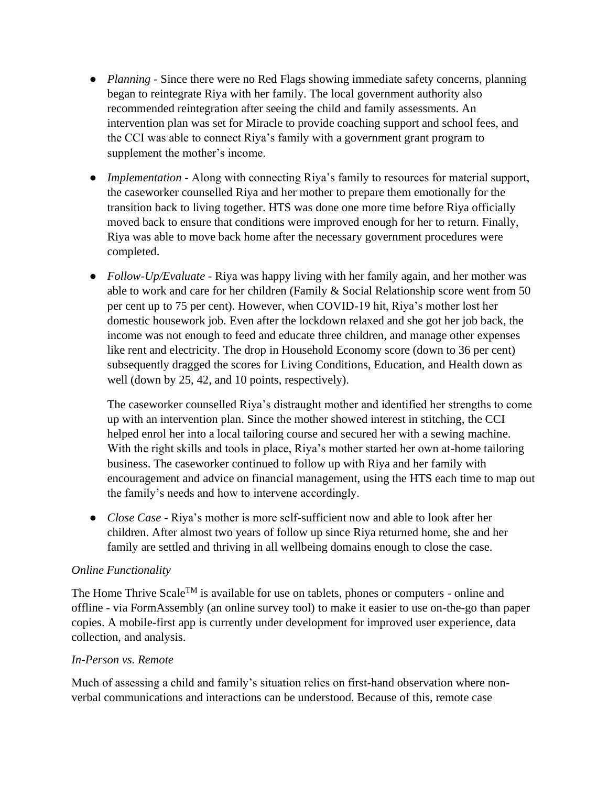- *Planning* Since there were no Red Flags showing immediate safety concerns, planning began to reintegrate Riya with her family. The local government authority also recommended reintegration after seeing the child and family assessments. An intervention plan was set for Miracle to provide coaching support and school fees, and the CCI was able to connect Riya's family with a government grant program to supplement the mother's income.
- *Implementation -* Along with connecting Riya's family to resources for material support, the caseworker counselled Riya and her mother to prepare them emotionally for the transition back to living together. HTS was done one more time before Riya officially moved back to ensure that conditions were improved enough for her to return. Finally, Riya was able to move back home after the necessary government procedures were completed.
- *Follow-Up/Evaluate* Riya was happy living with her family again, and her mother was able to work and care for her children (Family & Social Relationship score went from 50 per cent up to 75 per cent). However, when COVID-19 hit, Riya's mother lost her domestic housework job. Even after the lockdown relaxed and she got her job back, the income was not enough to feed and educate three children, and manage other expenses like rent and electricity. The drop in Household Economy score (down to 36 per cent) subsequently dragged the scores for Living Conditions, Education, and Health down as well (down by 25, 42, and 10 points, respectively).

The caseworker counselled Riya's distraught mother and identified her strengths to come up with an intervention plan. Since the mother showed interest in stitching, the CCI helped enrol her into a local tailoring course and secured her with a sewing machine. With the right skills and tools in place, Riya's mother started her own at-home tailoring business. The caseworker continued to follow up with Riya and her family with encouragement and advice on financial management, using the HTS each time to map out the family's needs and how to intervene accordingly.

● *Close Case -* Riya's mother is more self-sufficient now and able to look after her children. After almost two years of follow up since Riya returned home, she and her family are settled and thriving in all wellbeing domains enough to close the case.

### *Online Functionality*

The Home Thrive Scale<sup>TM</sup> is available for use on tablets, phones or computers - online and offline - via FormAssembly (an online survey tool) to make it easier to use on-the-go than paper copies. A mobile-first app is currently under development for improved user experience, data collection, and analysis.

#### *In-Person vs. Remote*

Much of assessing a child and family's situation relies on first-hand observation where nonverbal communications and interactions can be understood. Because of this, remote case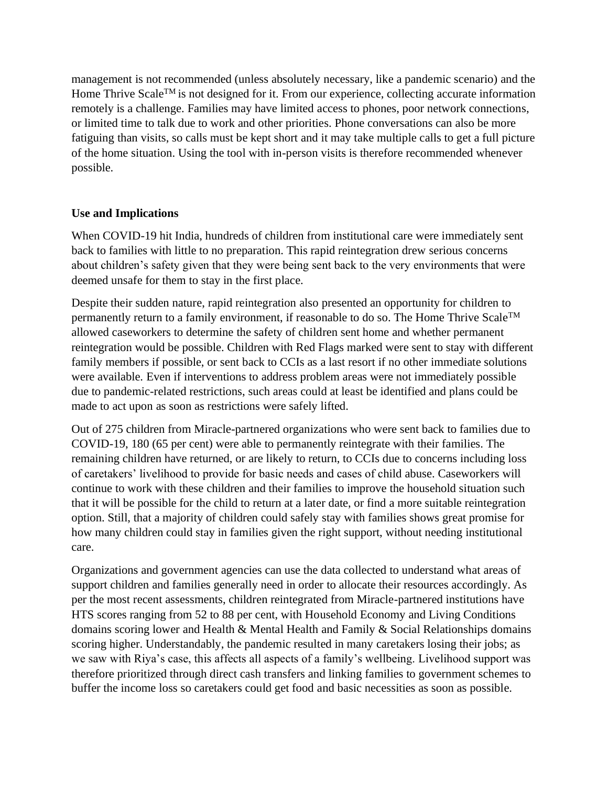management is not recommended (unless absolutely necessary, like a pandemic scenario) and the Home Thrive Scale<sup>TM</sup> is not designed for it. From our experience, collecting accurate information remotely is a challenge. Families may have limited access to phones, poor network connections, or limited time to talk due to work and other priorities. Phone conversations can also be more fatiguing than visits, so calls must be kept short and it may take multiple calls to get a full picture of the home situation. Using the tool with in-person visits is therefore recommended whenever possible.

### **Use and Implications**

When COVID-19 hit India, hundreds of children from institutional care were immediately sent back to families with little to no preparation. This rapid reintegration drew serious concerns about children's safety given that they were being sent back to the very environments that were deemed unsafe for them to stay in the first place.

Despite their sudden nature, rapid reintegration also presented an opportunity for children to permanently return to a family environment, if reasonable to do so. The Home Thrive Scale<sup>TM</sup> allowed caseworkers to determine the safety of children sent home and whether permanent reintegration would be possible. Children with Red Flags marked were sent to stay with different family members if possible, or sent back to CCIs as a last resort if no other immediate solutions were available. Even if interventions to address problem areas were not immediately possible due to pandemic-related restrictions, such areas could at least be identified and plans could be made to act upon as soon as restrictions were safely lifted.

Out of 275 children from Miracle-partnered organizations who were sent back to families due to COVID-19, 180 (65 per cent) were able to permanently reintegrate with their families. The remaining children have returned, or are likely to return, to CCIs due to concerns including loss of caretakers' livelihood to provide for basic needs and cases of child abuse. Caseworkers will continue to work with these children and their families to improve the household situation such that it will be possible for the child to return at a later date, or find a more suitable reintegration option. Still, that a majority of children could safely stay with families shows great promise for how many children could stay in families given the right support, without needing institutional care.

Organizations and government agencies can use the data collected to understand what areas of support children and families generally need in order to allocate their resources accordingly. As per the most recent assessments, children reintegrated from Miracle-partnered institutions have HTS scores ranging from 52 to 88 per cent, with Household Economy and Living Conditions domains scoring lower and Health & Mental Health and Family & Social Relationships domains scoring higher. Understandably, the pandemic resulted in many caretakers losing their jobs; as we saw with Riya's case, this affects all aspects of a family's wellbeing. Livelihood support was therefore prioritized through direct cash transfers and linking families to government schemes to buffer the income loss so caretakers could get food and basic necessities as soon as possible.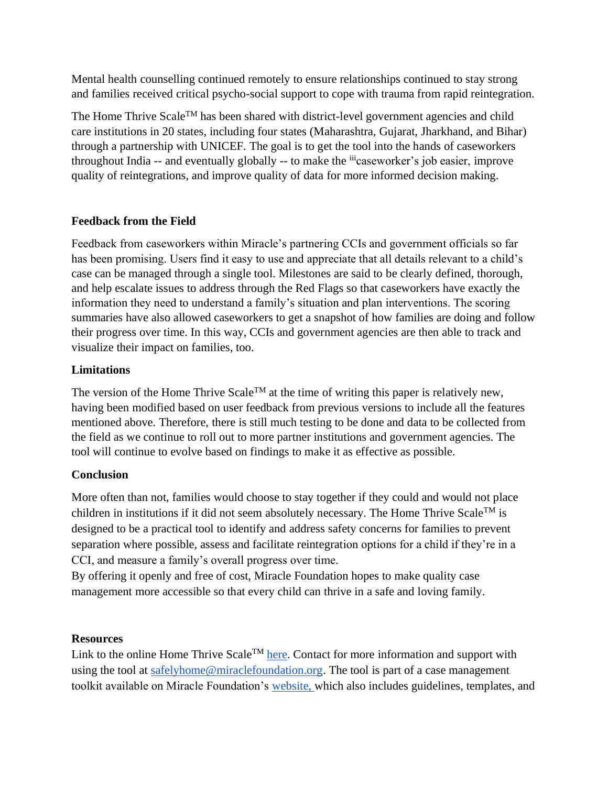Mental health counselling continued remotely to ensure relationships continued to stay strong and families received critical psycho-social support to cope with trauma from rapid reintegration.

The Home Thrive Scale<sup>TM</sup> has been shared with district-level government agencies and child care institutions in 20 states, including four states (Maharashtra, Gujarat, Jharkhand, and Bihar) through a partnership with UNICEF. The goal is to get the tool into the hands of caseworkers throughout India -- and eventually globally -- to make the <sup>iii</sup>caseworker's job easier, improve quality of reintegrations, and improve quality of data for more informed decision making.

### **Feedback from the Field**

Feedback from caseworkers within Miracle's partnering CCIs and government officials so far has been promising. Users find it easy to use and appreciate that all details relevant to a child's case can be managed through a single tool. Milestones are said to be clearly defined, thorough, and help escalate issues to address through the Red Flags so that caseworkers have exactly the information they need to understand a family's situation and plan interventions. The scoring summaries have also allowed caseworkers to get a snapshot of how families are doing and follow their progress over time. In this way, CCIs and government agencies are then able to track and visualize their impact on families, too.

# **Limitations**

The version of the Home Thrive Scale<sup>TM</sup> at the time of writing this paper is relatively new, having been modified based on user feedback from previous versions to include all the features mentioned above. Therefore, there is still much testing to be done and data to be collected from the field as we continue to roll out to more partner institutions and government agencies. The tool will continue to evolve based on findings to make it as effective as possible.

# **Conclusion**

More often than not, families would choose to stay together if they could and would not place children in institutions if it did not seem absolutely necessary. The Home Thrive Scale<sup>TM</sup> is designed to be a practical tool to identify and address safety concerns for families to prevent separation where possible, assess and facilitate reintegration options for a child if they're in a CCI, and measure a family's overall progress over time.

By offering it openly and free of cost, Miracle Foundation hopes to make quality case management more accessible so that every child can thrive in a safe and loving family.

### **Resources**

Link to the online Home Thrive Scale<sup>TM</sup> [here.](https://miraclefoundation.tfaforms.net/62) Contact for more information and support with using the tool at [safelyhome@miraclefoundation.org.](mailto:safelyhome@miraclefoundation.org) The tool is part of a case management toolkit available on Miracle Foundation's [website, w](https://www.miraclefoundation.org/resources/)hich also includes guidelines, templates, and